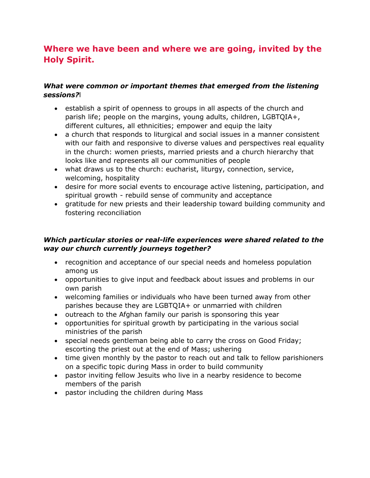# **Where we have been and where we are going, invited by the Holy Spirit.**

# *What were common or important themes that emerged from the listening sessions?*l

- establish a spirit of openness to groups in all aspects of the church and parish life; people on the margins, young adults, children, LGBTQIA+, different cultures, all ethnicities; empower and equip the laity
- a church that responds to liturgical and social issues in a manner consistent with our faith and responsive to diverse values and perspectives real equality in the church: women priests, married priests and a church hierarchy that looks like and represents all our communities of people
- what draws us to the church: eucharist, liturgy, connection, service, welcoming, hospitality
- desire for more social events to encourage active listening, participation, and spiritual growth - rebuild sense of community and acceptance
- gratitude for new priests and their leadership toward building community and fostering reconciliation

## *Which particular stories or real-life experiences were shared related to the way our church currently journeys together?*

- recognition and acceptance of our special needs and homeless population among us
- opportunities to give input and feedback about issues and problems in our own parish
- welcoming families or individuals who have been turned away from other parishes because they are LGBTQIA+ or unmarried with children
- outreach to the Afghan family our parish is sponsoring this year
- opportunities for spiritual growth by participating in the various social ministries of the parish
- special needs gentleman being able to carry the cross on Good Friday; escorting the priest out at the end of Mass; ushering
- time given monthly by the pastor to reach out and talk to fellow parishioners on a specific topic during Mass in order to build community
- pastor inviting fellow Jesuits who live in a nearby residence to become members of the parish
- pastor including the children during Mass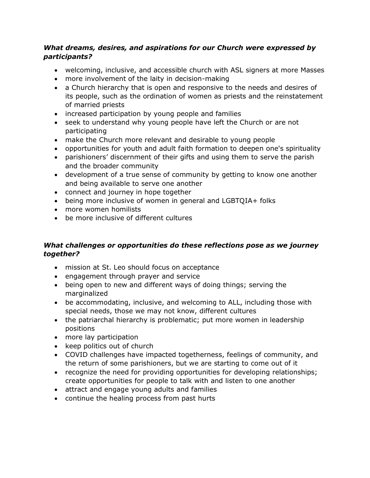## *What dreams, desires, and aspirations for our Church were expressed by participants?*

- welcoming, inclusive, and accessible church with ASL signers at more Masses
- more involvement of the laity in decision-making
- a Church hierarchy that is open and responsive to the needs and desires of its people, such as the ordination of women as priests and the reinstatement of married priests
- increased participation by young people and families
- seek to understand why young people have left the Church or are not participating
- make the Church more relevant and desirable to young people
- opportunities for youth and adult faith formation to deepen one's spirituality
- parishioners' discernment of their gifts and using them to serve the parish and the broader community
- development of a true sense of community by getting to know one another and being available to serve one another
- connect and journey in hope together
- being more inclusive of women in general and LGBTQIA+ folks
- more women homilists
- be more inclusive of different cultures

# *What challenges or opportunities do these reflections pose as we journey together?*

- mission at St. Leo should focus on acceptance
- engagement through prayer and service
- being open to new and different ways of doing things; serving the marginalized
- be accommodating, inclusive, and welcoming to ALL, including those with special needs, those we may not know, different cultures
- the patriarchal hierarchy is problematic; put more women in leadership positions
- more lay participation
- keep politics out of church
- COVID challenges have impacted togetherness, feelings of community, and the return of some parishioners, but we are starting to come out of it
- recognize the need for providing opportunities for developing relationships; create opportunities for people to talk with and listen to one another
- attract and engage young adults and families
- continue the healing process from past hurts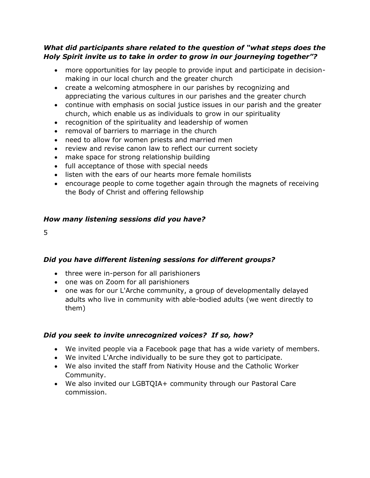#### *What did participants share related to the question of "what steps does the Holy Spirit invite us to take in order to grow in our journeying together"?*

- more opportunities for lay people to provide input and participate in decisionmaking in our local church and the greater church
- create a welcoming atmosphere in our parishes by recognizing and appreciating the various cultures in our parishes and the greater church
- continue with emphasis on social justice issues in our parish and the greater church, which enable us as individuals to grow in our spirituality
- recognition of the spirituality and leadership of women
- removal of barriers to marriage in the church
- need to allow for women priests and married men
- review and revise canon law to reflect our current society
- make space for strong relationship building
- full acceptance of those with special needs
- listen with the ears of our hearts more female homilists
- encourage people to come together again through the magnets of receiving the Body of Christ and offering fellowship

## *How many listening sessions did you have?*

5

# *Did you have different listening sessions for different groups?*

- three were in-person for all parishioners
- one was on Zoom for all parishioners
- one was for our L'Arche community, a group of developmentally delayed adults who live in community with able-bodied adults (we went directly to them)

# *Did you seek to invite unrecognized voices? If so, how?*

- We invited people via a Facebook page that has a wide variety of members.
- We invited L'Arche individually to be sure they got to participate.
- We also invited the staff from Nativity House and the Catholic Worker Community.
- We also invited our LGBTQIA+ community through our Pastoral Care commission.